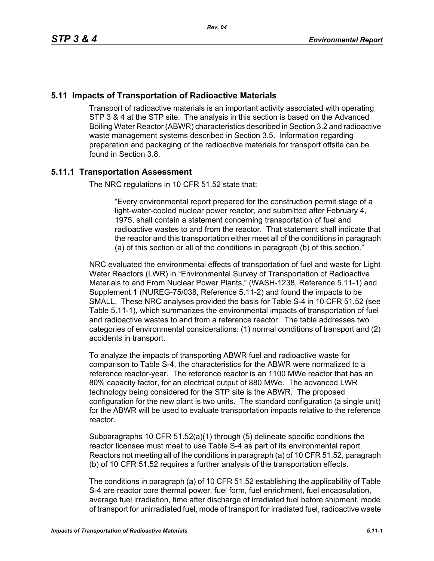# **5.11 Impacts of Transportation of Radioactive Materials**

Transport of radioactive materials is an important activity associated with operating STP 3 & 4 at the STP site. The analysis in this section is based on the Advanced Boiling Water Reactor (ABWR) characteristics described in Section 3.2 and radioactive waste management systems described in Section 3.5. Information regarding preparation and packaging of the radioactive materials for transport offsite can be found in Section 3.8.

# **5.11.1 Transportation Assessment**

The NRC regulations in 10 CFR 51.52 state that:

"Every environmental report prepared for the construction permit stage of a light-water-cooled nuclear power reactor, and submitted after February 4, 1975, shall contain a statement concerning transportation of fuel and radioactive wastes to and from the reactor. That statement shall indicate that the reactor and this transportation either meet all of the conditions in paragraph (a) of this section or all of the conditions in paragraph (b) of this section."

NRC evaluated the environmental effects of transportation of fuel and waste for Light Water Reactors (LWR) in "Environmental Survey of Transportation of Radioactive Materials to and From Nuclear Power Plants," (WASH-1238, Reference 5.11-1) and Supplement 1 (NUREG-75/038, Reference 5.11-2) and found the impacts to be SMALL. These NRC analyses provided the basis for Table S-4 in 10 CFR 51.52 (see Table 5.11-1), which summarizes the environmental impacts of transportation of fuel and radioactive wastes to and from a reference reactor. The table addresses two categories of environmental considerations: (1) normal conditions of transport and (2) accidents in transport.

To analyze the impacts of transporting ABWR fuel and radioactive waste for comparison to Table S-4, the characteristics for the ABWR were normalized to a reference reactor-year. The reference reactor is an 1100 MWe reactor that has an 80% capacity factor, for an electrical output of 880 MWe. The advanced LWR technology being considered for the STP site is the ABWR. The proposed configuration for the new plant is two units. The standard configuration (a single unit) for the ABWR will be used to evaluate transportation impacts relative to the reference reactor.

Subparagraphs 10 CFR 51.52(a)(1) through (5) delineate specific conditions the reactor licensee must meet to use Table S-4 as part of its environmental report. Reactors not meeting all of the conditions in paragraph (a) of 10 CFR 51.52, paragraph (b) of 10 CFR 51.52 requires a further analysis of the transportation effects.

The conditions in paragraph (a) of 10 CFR 51.52 establishing the applicability of Table S-4 are reactor core thermal power, fuel form, fuel enrichment, fuel encapsulation, average fuel irradiation, time after discharge of irradiated fuel before shipment, mode of transport for unirradiated fuel, mode of transport for irradiated fuel, radioactive waste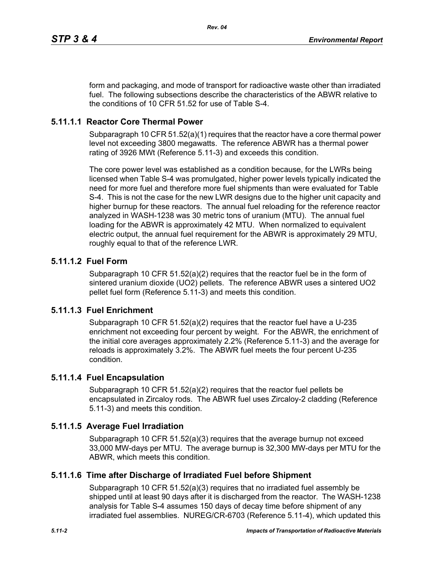form and packaging, and mode of transport for radioactive waste other than irradiated fuel. The following subsections describe the characteristics of the ABWR relative to the conditions of 10 CFR 51.52 for use of Table S-4.

*Rev. 04*

## **5.11.1.1 Reactor Core Thermal Power**

Subparagraph 10 CFR 51.52(a)(1) requires that the reactor have a core thermal power level not exceeding 3800 megawatts. The reference ABWR has a thermal power rating of 3926 MWt (Reference 5.11-3) and exceeds this condition.

The core power level was established as a condition because, for the LWRs being licensed when Table S-4 was promulgated, higher power levels typically indicated the need for more fuel and therefore more fuel shipments than were evaluated for Table S-4. This is not the case for the new LWR designs due to the higher unit capacity and higher burnup for these reactors. The annual fuel reloading for the reference reactor analyzed in WASH-1238 was 30 metric tons of uranium (MTU). The annual fuel loading for the ABWR is approximately 42 MTU. When normalized to equivalent electric output, the annual fuel requirement for the ABWR is approximately 29 MTU, roughly equal to that of the reference LWR.

## **5.11.1.2 Fuel Form**

Subparagraph 10 CFR 51.52(a)(2) requires that the reactor fuel be in the form of sintered uranium dioxide (UO2) pellets. The reference ABWR uses a sintered UO2 pellet fuel form (Reference 5.11-3) and meets this condition.

### **5.11.1.3 Fuel Enrichment**

Subparagraph 10 CFR 51.52(a)(2) requires that the reactor fuel have a U-235 enrichment not exceeding four percent by weight. For the ABWR, the enrichment of the initial core averages approximately 2.2% (Reference 5.11-3) and the average for reloads is approximately 3.2%. The ABWR fuel meets the four percent U-235 condition.

### **5.11.1.4 Fuel Encapsulation**

Subparagraph 10 CFR 51.52(a)(2) requires that the reactor fuel pellets be encapsulated in Zircaloy rods. The ABWR fuel uses Zircaloy-2 cladding (Reference 5.11-3) and meets this condition.

# **5.11.1.5 Average Fuel Irradiation**

Subparagraph 10 CFR 51.52(a)(3) requires that the average burnup not exceed 33,000 MW-days per MTU. The average burnup is 32,300 MW-days per MTU for the ABWR, which meets this condition.

# **5.11.1.6 Time after Discharge of Irradiated Fuel before Shipment**

Subparagraph 10 CFR 51.52(a)(3) requires that no irradiated fuel assembly be shipped until at least 90 days after it is discharged from the reactor. The WASH-1238 analysis for Table S-4 assumes 150 days of decay time before shipment of any irradiated fuel assemblies. NUREG/CR-6703 (Reference 5.11-4), which updated this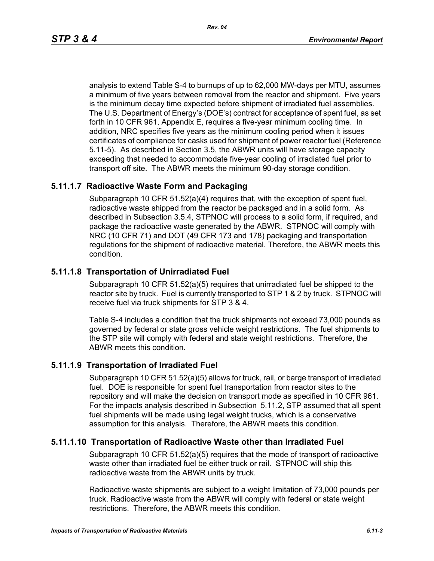analysis to extend Table S-4 to burnups of up to 62,000 MW-days per MTU, assumes a minimum of five years between removal from the reactor and shipment. Five years is the minimum decay time expected before shipment of irradiated fuel assemblies. The U.S. Department of Energy's (DOE's) contract for acceptance of spent fuel, as set forth in 10 CFR 961, Appendix E, requires a five-year minimum cooling time. In addition, NRC specifies five years as the minimum cooling period when it issues certificates of compliance for casks used for shipment of power reactor fuel (Reference 5.11-5). As described in Section 3.5, the ABWR units will have storage capacity exceeding that needed to accommodate five-year cooling of irradiated fuel prior to transport off site. The ABWR meets the minimum 90-day storage condition.

## **5.11.1.7 Radioactive Waste Form and Packaging**

Subparagraph 10 CFR 51.52(a)(4) requires that, with the exception of spent fuel, radioactive waste shipped from the reactor be packaged and in a solid form. As described in Subsection 3.5.4, STPNOC will process to a solid form, if required, and package the radioactive waste generated by the ABWR. STPNOC will comply with NRC (10 CFR 71) and DOT (49 CFR 173 and 178) packaging and transportation regulations for the shipment of radioactive material. Therefore, the ABWR meets this condition.

# **5.11.1.8 Transportation of Unirradiated Fuel**

Subparagraph 10 CFR 51.52(a)(5) requires that unirradiated fuel be shipped to the reactor site by truck. Fuel is currently transported to STP 1 & 2 by truck. STPNOC will receive fuel via truck shipments for STP 3 & 4.

Table S-4 includes a condition that the truck shipments not exceed 73,000 pounds as governed by federal or state gross vehicle weight restrictions. The fuel shipments to the STP site will comply with federal and state weight restrictions. Therefore, the ABWR meets this condition.

# **5.11.1.9 Transportation of Irradiated Fuel**

Subparagraph 10 CFR 51.52(a)(5) allows for truck, rail, or barge transport of irradiated fuel. DOE is responsible for spent fuel transportation from reactor sites to the repository and will make the decision on transport mode as specified in 10 CFR 961. For the impacts analysis described in Subsection 5.11.2, STP assumed that all spent fuel shipments will be made using legal weight trucks, which is a conservative assumption for this analysis. Therefore, the ABWR meets this condition.

# **5.11.1.10 Transportation of Radioactive Waste other than Irradiated Fuel**

Subparagraph 10 CFR 51.52(a)(5) requires that the mode of transport of radioactive waste other than irradiated fuel be either truck or rail. STPNOC will ship this radioactive waste from the ABWR units by truck.

Radioactive waste shipments are subject to a weight limitation of 73,000 pounds per truck. Radioactive waste from the ABWR will comply with federal or state weight restrictions. Therefore, the ABWR meets this condition.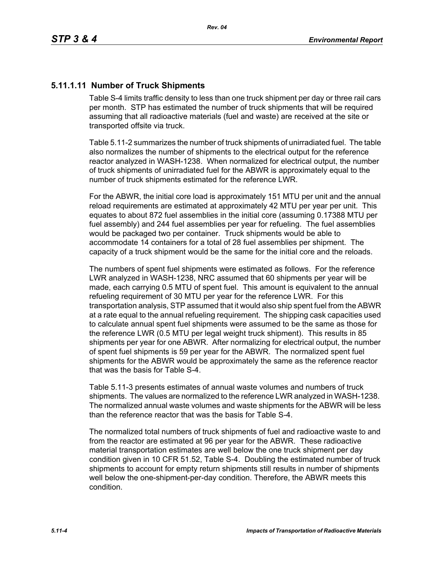# **5.11.1.11 Number of Truck Shipments**

Table S-4 limits traffic density to less than one truck shipment per day or three rail cars per month. STP has estimated the number of truck shipments that will be required assuming that all radioactive materials (fuel and waste) are received at the site or transported offsite via truck.

Table 5.11-2 summarizes the number of truck shipments of unirradiated fuel. The table also normalizes the number of shipments to the electrical output for the reference reactor analyzed in WASH-1238. When normalized for electrical output, the number of truck shipments of unirradiated fuel for the ABWR is approximately equal to the number of truck shipments estimated for the reference LWR.

For the ABWR, the initial core load is approximately 151 MTU per unit and the annual reload requirements are estimated at approximately 42 MTU per year per unit. This equates to about 872 fuel assemblies in the initial core (assuming 0.17388 MTU per fuel assembly) and 244 fuel assemblies per year for refueling. The fuel assemblies would be packaged two per container. Truck shipments would be able to accommodate 14 containers for a total of 28 fuel assemblies per shipment. The capacity of a truck shipment would be the same for the initial core and the reloads.

The numbers of spent fuel shipments were estimated as follows. For the reference LWR analyzed in WASH-1238, NRC assumed that 60 shipments per year will be made, each carrying 0.5 MTU of spent fuel. This amount is equivalent to the annual refueling requirement of 30 MTU per year for the reference LWR. For this transportation analysis, STP assumed that it would also ship spent fuel from the ABWR at a rate equal to the annual refueling requirement. The shipping cask capacities used to calculate annual spent fuel shipments were assumed to be the same as those for the reference LWR (0.5 MTU per legal weight truck shipment). This results in 85 shipments per year for one ABWR. After normalizing for electrical output, the number of spent fuel shipments is 59 per year for the ABWR. The normalized spent fuel shipments for the ABWR would be approximately the same as the reference reactor that was the basis for Table S-4.

Table 5.11-3 presents estimates of annual waste volumes and numbers of truck shipments. The values are normalized to the reference LWR analyzed in WASH-1238. The normalized annual waste volumes and waste shipments for the ABWR will be less than the reference reactor that was the basis for Table S-4.

The normalized total numbers of truck shipments of fuel and radioactive waste to and from the reactor are estimated at 96 per year for the ABWR. These radioactive material transportation estimates are well below the one truck shipment per day condition given in 10 CFR 51.52, Table S-4. Doubling the estimated number of truck shipments to account for empty return shipments still results in number of shipments well below the one-shipment-per-day condition. Therefore, the ABWR meets this condition.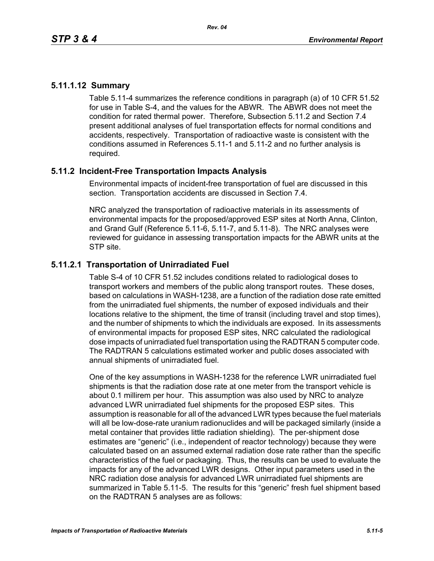# **5.11.1.12 Summary**

Table 5.11-4 summarizes the reference conditions in paragraph (a) of 10 CFR 51.52 for use in Table S-4, and the values for the ABWR. The ABWR does not meet the condition for rated thermal power. Therefore, Subsection 5.11.2 and Section 7.4 present additional analyses of fuel transportation effects for normal conditions and accidents, respectively. Transportation of radioactive waste is consistent with the conditions assumed in References 5.11-1 and 5.11-2 and no further analysis is required.

# **5.11.2 Incident-Free Transportation Impacts Analysis**

Environmental impacts of incident-free transportation of fuel are discussed in this section. Transportation accidents are discussed in Section 7.4.

NRC analyzed the transportation of radioactive materials in its assessments of environmental impacts for the proposed/approved ESP sites at North Anna, Clinton, and Grand Gulf (Reference 5.11-6, 5.11-7, and 5.11-8). The NRC analyses were reviewed for guidance in assessing transportation impacts for the ABWR units at the STP site.

# **5.11.2.1 Transportation of Unirradiated Fuel**

Table S-4 of 10 CFR 51.52 includes conditions related to radiological doses to transport workers and members of the public along transport routes. These doses, based on calculations in WASH-1238, are a function of the radiation dose rate emitted from the unirradiated fuel shipments, the number of exposed individuals and their locations relative to the shipment, the time of transit (including travel and stop times), and the number of shipments to which the individuals are exposed. In its assessments of environmental impacts for proposed ESP sites, NRC calculated the radiological dose impacts of unirradiated fuel transportation using the RADTRAN 5 computer code. The RADTRAN 5 calculations estimated worker and public doses associated with annual shipments of unirradiated fuel.

One of the key assumptions in WASH-1238 for the reference LWR unirradiated fuel shipments is that the radiation dose rate at one meter from the transport vehicle is about 0.1 millirem per hour. This assumption was also used by NRC to analyze advanced LWR unirradiated fuel shipments for the proposed ESP sites. This assumption is reasonable for all of the advanced LWR types because the fuel materials will all be low-dose-rate uranium radionuclides and will be packaged similarly (inside a metal container that provides little radiation shielding). The per-shipment dose estimates are "generic" (i.e., independent of reactor technology) because they were calculated based on an assumed external radiation dose rate rather than the specific characteristics of the fuel or packaging. Thus, the results can be used to evaluate the impacts for any of the advanced LWR designs. Other input parameters used in the NRC radiation dose analysis for advanced LWR unirradiated fuel shipments are summarized in Table 5.11-5. The results for this "generic" fresh fuel shipment based on the RADTRAN 5 analyses are as follows: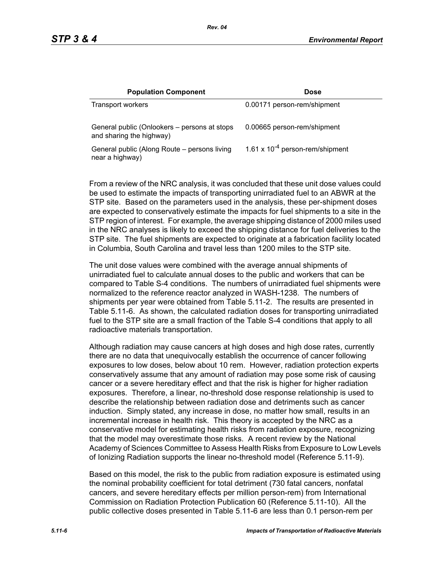| <b>Population Component</b>                                              | <b>Dose</b>                          |
|--------------------------------------------------------------------------|--------------------------------------|
| Transport workers                                                        | 0.00171 person-rem/shipment          |
| General public (Onlookers – persons at stops<br>and sharing the highway) | 0.00665 person-rem/shipment          |
| General public (Along Route – persons living<br>near a highway)          | 1.61 x $10^{-4}$ person-rem/shipment |

From a review of the NRC analysis, it was concluded that these unit dose values could be used to estimate the impacts of transporting unirradiated fuel to an ABWR at the STP site. Based on the parameters used in the analysis, these per-shipment doses are expected to conservatively estimate the impacts for fuel shipments to a site in the STP region of interest. For example, the average shipping distance of 2000 miles used in the NRC analyses is likely to exceed the shipping distance for fuel deliveries to the STP site. The fuel shipments are expected to originate at a fabrication facility located in Columbia, South Carolina and travel less than 1200 miles to the STP site.

The unit dose values were combined with the average annual shipments of unirradiated fuel to calculate annual doses to the public and workers that can be compared to Table S-4 conditions. The numbers of unirradiated fuel shipments were normalized to the reference reactor analyzed in WASH-1238. The numbers of shipments per year were obtained from Table 5.11-2. The results are presented in Table 5.11-6. As shown, the calculated radiation doses for transporting unirradiated fuel to the STP site are a small fraction of the Table S-4 conditions that apply to all radioactive materials transportation.

Although radiation may cause cancers at high doses and high dose rates, currently there are no data that unequivocally establish the occurrence of cancer following exposures to low doses, below about 10 rem. However, radiation protection experts conservatively assume that any amount of radiation may pose some risk of causing cancer or a severe hereditary effect and that the risk is higher for higher radiation exposures. Therefore, a linear, no-threshold dose response relationship is used to describe the relationship between radiation dose and detriments such as cancer induction. Simply stated, any increase in dose, no matter how small, results in an incremental increase in health risk. This theory is accepted by the NRC as a conservative model for estimating health risks from radiation exposure, recognizing that the model may overestimate those risks. A recent review by the National Academy of Sciences Committee to Assess Health Risks from Exposure to Low Levels of Ionizing Radiation supports the linear no-threshold model (Reference 5.11-9).

Based on this model, the risk to the public from radiation exposure is estimated using the nominal probability coefficient for total detriment (730 fatal cancers, nonfatal cancers, and severe hereditary effects per million person-rem) from International Commission on Radiation Protection Publication 60 (Reference 5.11-10). All the public collective doses presented in Table 5.11-6 are less than 0.1 person-rem per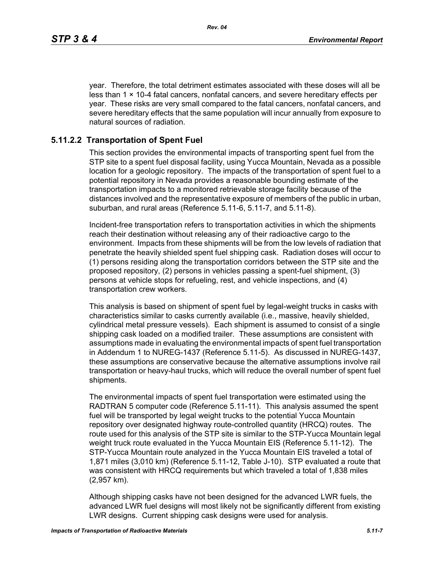year. Therefore, the total detriment estimates associated with these doses will all be less than  $1 \times 10-4$  fatal cancers, nonfatal cancers, and severe hereditary effects per year. These risks are very small compared to the fatal cancers, nonfatal cancers, and severe hereditary effects that the same population will incur annually from exposure to natural sources of radiation.

# **5.11.2.2 Transportation of Spent Fuel**

This section provides the environmental impacts of transporting spent fuel from the STP site to a spent fuel disposal facility, using Yucca Mountain, Nevada as a possible location for a geologic repository. The impacts of the transportation of spent fuel to a potential repository in Nevada provides a reasonable bounding estimate of the transportation impacts to a monitored retrievable storage facility because of the distances involved and the representative exposure of members of the public in urban, suburban, and rural areas (Reference 5.11-6, 5.11-7, and 5.11-8).

Incident-free transportation refers to transportation activities in which the shipments reach their destination without releasing any of their radioactive cargo to the environment. Impacts from these shipments will be from the low levels of radiation that penetrate the heavily shielded spent fuel shipping cask. Radiation doses will occur to (1) persons residing along the transportation corridors between the STP site and the proposed repository, (2) persons in vehicles passing a spent-fuel shipment, (3) persons at vehicle stops for refueling, rest, and vehicle inspections, and (4) transportation crew workers.

This analysis is based on shipment of spent fuel by legal-weight trucks in casks with characteristics similar to casks currently available (i.e., massive, heavily shielded, cylindrical metal pressure vessels). Each shipment is assumed to consist of a single shipping cask loaded on a modified trailer. These assumptions are consistent with assumptions made in evaluating the environmental impacts of spent fuel transportation in Addendum 1 to NUREG-1437 (Reference 5.11-5). As discussed in NUREG-1437, these assumptions are conservative because the alternative assumptions involve rail transportation or heavy-haul trucks, which will reduce the overall number of spent fuel shipments.

The environmental impacts of spent fuel transportation were estimated using the RADTRAN 5 computer code (Reference 5.11-11). This analysis assumed the spent fuel will be transported by legal weight trucks to the potential Yucca Mountain repository over designated highway route-controlled quantity (HRCQ) routes. The route used for this analysis of the STP site is similar to the STP-Yucca Mountain legal weight truck route evaluated in the Yucca Mountain EIS (Reference 5.11-12). The STP-Yucca Mountain route analyzed in the Yucca Mountain EIS traveled a total of 1,871 miles (3,010 km) (Reference 5.11-12, Table J-10). STP evaluated a route that was consistent with HRCQ requirements but which traveled a total of 1,838 miles (2,957 km).

Although shipping casks have not been designed for the advanced LWR fuels, the advanced LWR fuel designs will most likely not be significantly different from existing LWR designs. Current shipping cask designs were used for analysis.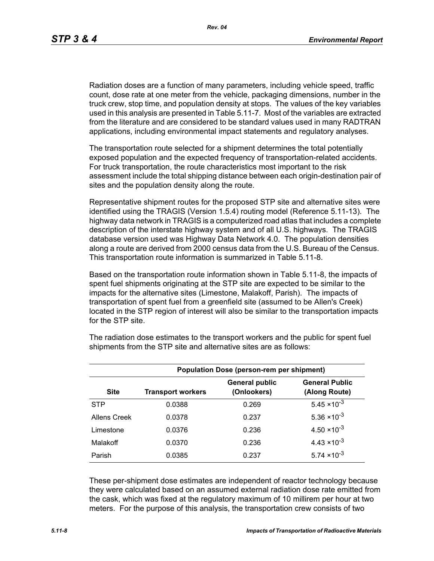Radiation doses are a function of many parameters, including vehicle speed, traffic count, dose rate at one meter from the vehicle, packaging dimensions, number in the truck crew, stop time, and population density at stops. The values of the key variables used in this analysis are presented in Table 5.11-7. Most of the variables are extracted from the literature and are considered to be standard values used in many RADTRAN applications, including environmental impact statements and regulatory analyses.

The transportation route selected for a shipment determines the total potentially exposed population and the expected frequency of transportation-related accidents. For truck transportation, the route characteristics most important to the risk assessment include the total shipping distance between each origin-destination pair of sites and the population density along the route.

Representative shipment routes for the proposed STP site and alternative sites were identified using the TRAGIS (Version 1.5.4) routing model (Reference 5.11-13). The highway data network in TRAGIS is a computerized road atlas that includes a complete description of the interstate highway system and of all U.S. highways. The TRAGIS database version used was Highway Data Network 4.0. The population densities along a route are derived from 2000 census data from the U.S. Bureau of the Census. This transportation route information is summarized in Table 5.11-8.

Based on the transportation route information shown in Table 5.11-8, the impacts of spent fuel shipments originating at the STP site are expected to be similar to the impacts for the alternative sites (Limestone, Malakoff, Parish). The impacts of transportation of spent fuel from a greenfield site (assumed to be Allen's Creek) located in the STP region of interest will also be similar to the transportation impacts for the STP site.

| <b>Population Dose (person-rem per shipment)</b> |                          |                                      |                                        |  |  |  |
|--------------------------------------------------|--------------------------|--------------------------------------|----------------------------------------|--|--|--|
| <b>Site</b>                                      | <b>Transport workers</b> | <b>General public</b><br>(Onlookers) | <b>General Public</b><br>(Along Route) |  |  |  |
| <b>STP</b>                                       | 0.0388                   | 0.269                                | $5.45 \times 10^{-3}$                  |  |  |  |
| Allens Creek                                     | 0.0378                   | 0.237                                | $5.36 \times 10^{-3}$                  |  |  |  |
| Limestone                                        | 0.0376                   | 0.236                                | $4.50 \times 10^{-3}$                  |  |  |  |
| Malakoff                                         | 0.0370                   | 0.236                                | $4.43 \times 10^{-3}$                  |  |  |  |
| Parish                                           | 0.0385                   | 0.237                                | $5.74 \times 10^{-3}$                  |  |  |  |

The radiation dose estimates to the transport workers and the public for spent fuel shipments from the STP site and alternative sites are as follows:

These per-shipment dose estimates are independent of reactor technology because they were calculated based on an assumed external radiation dose rate emitted from the cask, which was fixed at the regulatory maximum of 10 millirem per hour at two meters. For the purpose of this analysis, the transportation crew consists of two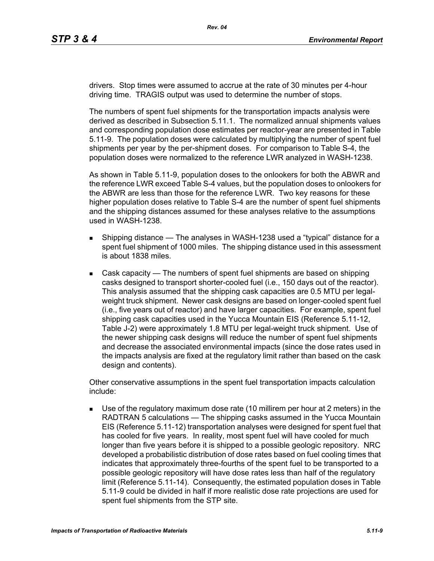drivers. Stop times were assumed to accrue at the rate of 30 minutes per 4-hour driving time. TRAGIS output was used to determine the number of stops.

The numbers of spent fuel shipments for the transportation impacts analysis were derived as described in Subsection 5.11.1. The normalized annual shipments values and corresponding population dose estimates per reactor-year are presented in Table 5.11-9. The population doses were calculated by multiplying the number of spent fuel shipments per year by the per-shipment doses. For comparison to Table S-4, the population doses were normalized to the reference LWR analyzed in WASH-1238.

As shown in Table 5.11-9, population doses to the onlookers for both the ABWR and the reference LWR exceed Table S-4 values, but the population doses to onlookers for the ABWR are less than those for the reference LWR. Two key reasons for these higher population doses relative to Table S-4 are the number of spent fuel shipments and the shipping distances assumed for these analyses relative to the assumptions used in WASH-1238.

- **Shipping distance The analyses in WASH-1238 used a "typical" distance for a** spent fuel shipment of 1000 miles. The shipping distance used in this assessment is about 1838 miles.
- Cask capacity The numbers of spent fuel shipments are based on shipping casks designed to transport shorter-cooled fuel (i.e., 150 days out of the reactor). This analysis assumed that the shipping cask capacities are 0.5 MTU per legalweight truck shipment. Newer cask designs are based on longer-cooled spent fuel (i.e., five years out of reactor) and have larger capacities. For example, spent fuel shipping cask capacities used in the Yucca Mountain EIS (Reference 5.11-12, Table J-2) were approximately 1.8 MTU per legal-weight truck shipment. Use of the newer shipping cask designs will reduce the number of spent fuel shipments and decrease the associated environmental impacts (since the dose rates used in the impacts analysis are fixed at the regulatory limit rather than based on the cask design and contents).

Other conservative assumptions in the spent fuel transportation impacts calculation include:

 Use of the regulatory maximum dose rate (10 millirem per hour at 2 meters) in the RADTRAN 5 calculations — The shipping casks assumed in the Yucca Mountain EIS (Reference 5.11-12) transportation analyses were designed for spent fuel that has cooled for five years. In reality, most spent fuel will have cooled for much longer than five years before it is shipped to a possible geologic repository. NRC developed a probabilistic distribution of dose rates based on fuel cooling times that indicates that approximately three-fourths of the spent fuel to be transported to a possible geologic repository will have dose rates less than half of the regulatory limit (Reference 5.11-14). Consequently, the estimated population doses in Table 5.11-9 could be divided in half if more realistic dose rate projections are used for spent fuel shipments from the STP site.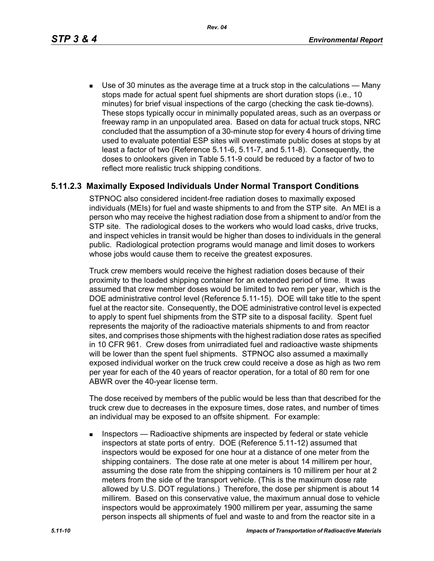*Rev. 04*

 Use of 30 minutes as the average time at a truck stop in the calculations — Many stops made for actual spent fuel shipments are short duration stops (i.e., 10 minutes) for brief visual inspections of the cargo (checking the cask tie-downs). These stops typically occur in minimally populated areas, such as an overpass or freeway ramp in an unpopulated area. Based on data for actual truck stops, NRC concluded that the assumption of a 30-minute stop for every 4 hours of driving time used to evaluate potential ESP sites will overestimate public doses at stops by at least a factor of two (Reference 5.11-6, 5.11-7, and 5.11-8). Consequently, the doses to onlookers given in Table 5.11-9 could be reduced by a factor of two to reflect more realistic truck shipping conditions.

# **5.11.2.3 Maximally Exposed Individuals Under Normal Transport Conditions**

STPNOC also considered incident-free radiation doses to maximally exposed individuals (MEIs) for fuel and waste shipments to and from the STP site. An MEI is a person who may receive the highest radiation dose from a shipment to and/or from the STP site. The radiological doses to the workers who would load casks, drive trucks, and inspect vehicles in transit would be higher than doses to individuals in the general public. Radiological protection programs would manage and limit doses to workers whose jobs would cause them to receive the greatest exposures.

Truck crew members would receive the highest radiation doses because of their proximity to the loaded shipping container for an extended period of time. It was assumed that crew member doses would be limited to two rem per year, which is the DOE administrative control level (Reference 5.11-15). DOE will take title to the spent fuel at the reactor site. Consequently, the DOE administrative control level is expected to apply to spent fuel shipments from the STP site to a disposal facility. Spent fuel represents the majority of the radioactive materials shipments to and from reactor sites, and comprises those shipments with the highest radiation dose rates as specified in 10 CFR 961. Crew doses from unirradiated fuel and radioactive waste shipments will be lower than the spent fuel shipments. STPNOC also assumed a maximally exposed individual worker on the truck crew could receive a dose as high as two rem per year for each of the 40 years of reactor operation, for a total of 80 rem for one ABWR over the 40-year license term.

The dose received by members of the public would be less than that described for the truck crew due to decreases in the exposure times, dose rates, and number of times an individual may be exposed to an offsite shipment. For example:

**Inspectors** — Radioactive shipments are inspected by federal or state vehicle inspectors at state ports of entry. DOE (Reference 5.11-12) assumed that inspectors would be exposed for one hour at a distance of one meter from the shipping containers. The dose rate at one meter is about 14 millirem per hour, assuming the dose rate from the shipping containers is 10 millirem per hour at 2 meters from the side of the transport vehicle. (This is the maximum dose rate allowed by U.S. DOT regulations.) Therefore, the dose per shipment is about 14 millirem. Based on this conservative value, the maximum annual dose to vehicle inspectors would be approximately 1900 millirem per year, assuming the same person inspects all shipments of fuel and waste to and from the reactor site in a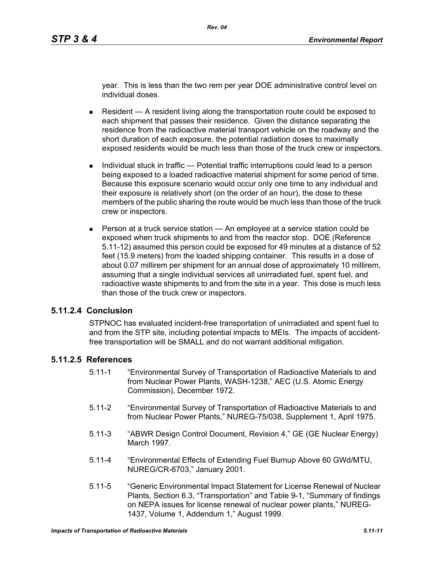year. This is less than the two rem per year DOE administrative control level on individual doses.

- Resident  $A$  resident living along the transportation route could be exposed to each shipment that passes their residence. Given the distance separating the residence from the radioactive material transport vehicle on the roadway and the short duration of each exposure, the potential radiation doses to maximally exposed residents would be much less than those of the truck crew or inspectors.
- Individual stuck in traffic Potential traffic interruptions could lead to a person being exposed to a loaded radioactive material shipment for some period of time. Because this exposure scenario would occur only one time to any individual and their exposure is relatively short (on the order of an hour), the dose to these members of the public sharing the route would be much less than those of the truck crew or inspectors.
- **Person at a truck service station An employee at a service station could be** exposed when truck shipments to and from the reactor stop. DOE (Reference 5.11-12) assumed this person could be exposed for 49 minutes at a distance of 52 feet (15.9 meters) from the loaded shipping container. This results in a dose of about 0.07 millirem per shipment for an annual dose of approximately 10 millirem, assuming that a single individual services all unirradiated fuel, spent fuel, and radioactive waste shipments to and from the site in a year. This dose is much less than those of the truck crew or inspectors.

### **5.11.2.4 Conclusion**

STPNOC has evaluated incident-free transportation of unirradiated and spent fuel to and from the STP site, including potential impacts to MEIs. The impacts of accidentfree transportation will be SMALL and do not warrant additional mitigation.

#### **5.11.2.5 References**

- 5.11-1 "Environmental Survey of Transportation of Radioactive Materials to and from Nuclear Power Plants, WASH-1238," AEC (U.S. Atomic Energy Commission), December 1972.
- 5.11-2 "Environmental Survey of Transportation of Radioactive Materials to and from Nuclear Power Plants," NUREG-75/038, Supplement 1, April 1975.
- 5.11-3 "ABWR Design Control Document, Revision 4," GE (GE Nuclear Energy) March 1997.
- 5.11-4 "Environmental Effects of Extending Fuel Burnup Above 60 GWd/MTU, NUREG/CR-6703," January 2001.
- 5.11-5 "Generic Environmental Impact Statement for License Renewal of Nuclear Plants, Section 6.3, "Transportation" and Table 9-1, "Summary of findings on NEPA issues for license renewal of nuclear power plants," NUREG-1437, Volume 1, Addendum 1," August 1999.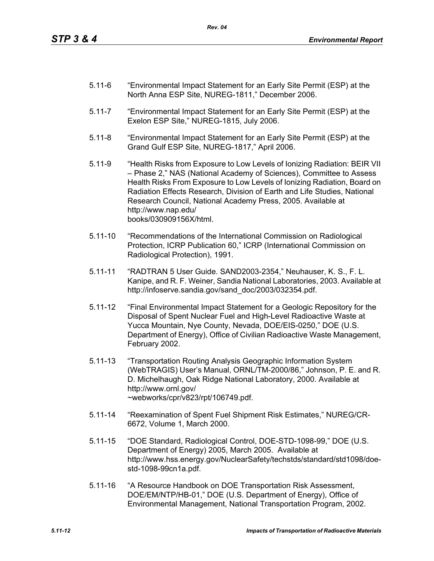- 5.11-6 "Environmental Impact Statement for an Early Site Permit (ESP) at the North Anna ESP Site, NUREG-1811," December 2006.
- 5.11-7 "Environmental Impact Statement for an Early Site Permit (ESP) at the Exelon ESP Site," NUREG-1815, July 2006.
- 5.11-8 "Environmental Impact Statement for an Early Site Permit (ESP) at the Grand Gulf ESP Site, NUREG-1817," April 2006.
- 5.11-9 "Health Risks from Exposure to Low Levels of Ionizing Radiation: BEIR VII – Phase 2," NAS (National Academy of Sciences), Committee to Assess Health Risks From Exposure to Low Levels of Ionizing Radiation, Board on Radiation Effects Research, Division of Earth and Life Studies, National Research Council, National Academy Press, 2005. Available at http://www.nap.edu/ books/030909156X/html.
- 5.11-10 "Recommendations of the International Commission on Radiological Protection, ICRP Publication 60," ICRP (International Commission on Radiological Protection), 1991.
- 5.11-11 "RADTRAN 5 User Guide. SAND2003-2354," Neuhauser, K. S., F. L. Kanipe, and R. F. Weiner, Sandia National Laboratories, 2003. Available at http://infoserve.sandia.gov/sand\_doc/2003/032354.pdf.
- 5.11-12 "Final Environmental Impact Statement for a Geologic Repository for the Disposal of Spent Nuclear Fuel and High-Level Radioactive Waste at Yucca Mountain, Nye County, Nevada, DOE/EIS-0250," DOE (U.S. Department of Energy), Office of Civilian Radioactive Waste Management, February 2002.
- 5.11-13 "Transportation Routing Analysis Geographic Information System (WebTRAGIS) User's Manual, ORNL/TM-2000/86," Johnson, P. E. and R. D. Michelhaugh, Oak Ridge National Laboratory, 2000. Available at http://www.ornl.gov/ ~webworks/cpr/v823/rpt/106749.pdf.
- 5.11-14 "Reexamination of Spent Fuel Shipment Risk Estimates," NUREG/CR-6672, Volume 1, March 2000.
- 5.11-15 "DOE Standard, Radiological Control, DOE-STD-1098-99," DOE (U.S. Department of Energy) 2005, March 2005. Available at http://www.hss.energy.gov/NuclearSafety/techstds/standard/std1098/doestd-1098-99cn1a.pdf.
- 5.11-16 "A Resource Handbook on DOE Transportation Risk Assessment, DOE/EM/NTP/HB-01," DOE (U.S. Department of Energy), Office of Environmental Management, National Transportation Program, 2002.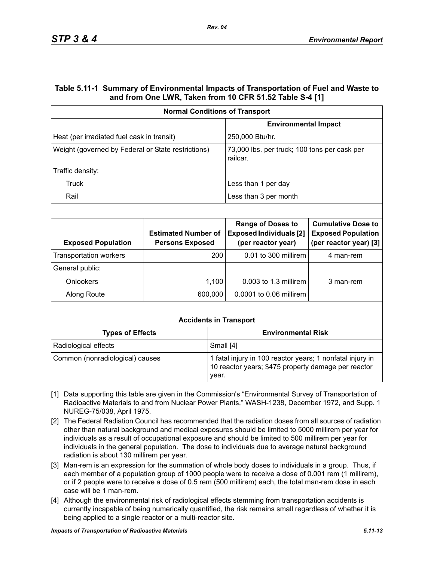## **Table 5.11-1 Summary of Environmental Impacts of Transportation of Fuel and Waste to and from One LWR, Taken from 10 CFR 51.52 Table S-4 [1]**

| <b>Normal Conditions of Transport</b>              |                                                      |                                                                                                                  |                                                                                  |                                                                                  |  |
|----------------------------------------------------|------------------------------------------------------|------------------------------------------------------------------------------------------------------------------|----------------------------------------------------------------------------------|----------------------------------------------------------------------------------|--|
|                                                    |                                                      | <b>Environmental Impact</b>                                                                                      |                                                                                  |                                                                                  |  |
| Heat (per irradiated fuel cask in transit)         |                                                      |                                                                                                                  | 250,000 Btu/hr.                                                                  |                                                                                  |  |
| Weight (governed by Federal or State restrictions) |                                                      |                                                                                                                  | 73,000 lbs. per truck; 100 tons per cask per<br>railcar.                         |                                                                                  |  |
| Traffic density:                                   |                                                      |                                                                                                                  |                                                                                  |                                                                                  |  |
| Truck                                              |                                                      |                                                                                                                  | Less than 1 per day                                                              |                                                                                  |  |
| Rail                                               |                                                      |                                                                                                                  | Less than 3 per month                                                            |                                                                                  |  |
|                                                    |                                                      |                                                                                                                  |                                                                                  |                                                                                  |  |
| <b>Exposed Population</b>                          | <b>Estimated Number of</b><br><b>Persons Exposed</b> |                                                                                                                  | <b>Range of Doses to</b><br><b>Exposed Individuals [2]</b><br>(per reactor year) | <b>Cumulative Dose to</b><br><b>Exposed Population</b><br>(per reactor year) [3] |  |
| <b>Transportation workers</b>                      | 200                                                  |                                                                                                                  | 0.01 to 300 millirem                                                             | 4 man-rem                                                                        |  |
| General public:                                    |                                                      |                                                                                                                  |                                                                                  |                                                                                  |  |
| Onlookers                                          |                                                      | 1,100                                                                                                            | $0.003$ to 1.3 millirem                                                          | 3 man-rem                                                                        |  |
| Along Route                                        |                                                      | 600,000                                                                                                          | 0.0001 to 0.06 millirem                                                          |                                                                                  |  |
|                                                    |                                                      |                                                                                                                  |                                                                                  |                                                                                  |  |
|                                                    |                                                      |                                                                                                                  | <b>Accidents in Transport</b>                                                    |                                                                                  |  |
| <b>Types of Effects</b>                            |                                                      |                                                                                                                  | <b>Environmental Risk</b>                                                        |                                                                                  |  |
| Small [4]<br>Radiological effects                  |                                                      |                                                                                                                  |                                                                                  |                                                                                  |  |
| Common (nonradiological) causes<br>year.           |                                                      | 1 fatal injury in 100 reactor years; 1 nonfatal injury in<br>10 reactor years; \$475 property damage per reactor |                                                                                  |                                                                                  |  |

- [1] Data supporting this table are given in the Commission's "Environmental Survey of Transportation of Radioactive Materials to and from Nuclear Power Plants," WASH-1238, December 1972, and Supp. 1 NUREG-75/038, April 1975.
- [2] The Federal Radiation Council has recommended that the radiation doses from all sources of radiation other than natural background and medical exposures should be limited to 5000 millirem per year for individuals as a result of occupational exposure and should be limited to 500 millirem per year for individuals in the general population. The dose to individuals due to average natural background radiation is about 130 millirem per year.
- [3] Man-rem is an expression for the summation of whole body doses to individuals in a group. Thus, if each member of a population group of 1000 people were to receive a dose of 0.001 rem (1 millirem), or if 2 people were to receive a dose of 0.5 rem (500 millirem) each, the total man-rem dose in each case will be 1 man-rem.
- [4] Although the environmental risk of radiological effects stemming from transportation accidents is currently incapable of being numerically quantified, the risk remains small regardless of whether it is being applied to a single reactor or a multi-reactor site.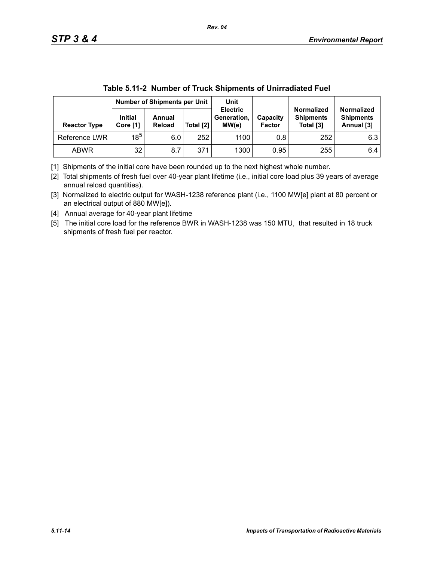|                     | <b>Number of Shipments per Unit</b> |                  | Unit      |                                         |                           |                                                    |                                                     |
|---------------------|-------------------------------------|------------------|-----------|-----------------------------------------|---------------------------|----------------------------------------------------|-----------------------------------------------------|
| <b>Reactor Type</b> | <b>Initial</b><br>Core [1]          | Annual<br>Reload | Total [2] | <b>Electric</b><br>Generation,<br>MW(e) | Capacity<br><b>Factor</b> | <b>Normalized</b><br><b>Shipments</b><br>Total [3] | <b>Normalized</b><br><b>Shipments</b><br>Annual [3] |
| Reference LWR       | $18^{5}$                            | 6.0              | 252       | 1100                                    | 0.8                       | 252                                                | 6.3                                                 |
| <b>ABWR</b>         | 32                                  | 8.7              | 371       | 1300                                    | 0.95                      | 255                                                | 6.4                                                 |

| Table 5.11-2 Number of Truck Shipments of Unirradiated Fuel |
|-------------------------------------------------------------|
|-------------------------------------------------------------|

[1] Shipments of the initial core have been rounded up to the next highest whole number.

[2] Total shipments of fresh fuel over 40-year plant lifetime (i.e., initial core load plus 39 years of average annual reload quantities).

[3] Normalized to electric output for WASH-1238 reference plant (i.e., 1100 MW[e] plant at 80 percent or an electrical output of 880 MW[e]).

[4] Annual average for 40-year plant lifetime

[5] The initial core load for the reference BWR in WASH-1238 was 150 MTU, that resulted in 18 truck shipments of fresh fuel per reactor.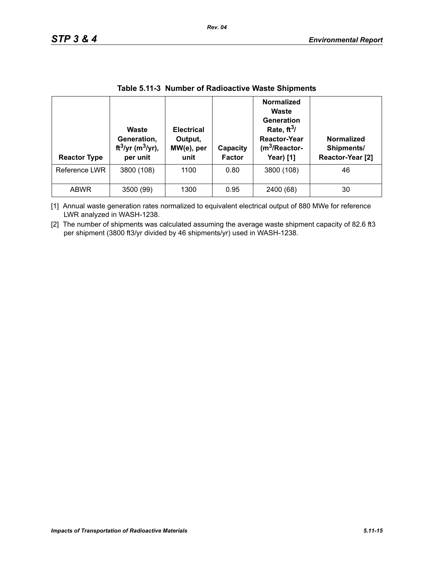| <b>Reactor Type</b> | Waste<br>Generation,<br>ft <sup>3</sup> /yr (m <sup>3</sup> /yr),<br>per unit | <b>Electrical</b><br>Output,<br>MW(e), per<br>unit | Capacity<br><b>Factor</b> | <b>Normalized</b><br>Waste<br>Generation<br>Rate, $ft^3/$<br><b>Reactor-Year</b><br>$(m3/Reactor-$<br><b>Year)</b> [1] | Normalized<br>Shipments/<br>Reactor-Year [2] |
|---------------------|-------------------------------------------------------------------------------|----------------------------------------------------|---------------------------|------------------------------------------------------------------------------------------------------------------------|----------------------------------------------|
| Reference LWR       | 3800 (108)                                                                    | 1100                                               | 0.80                      | 3800 (108)                                                                                                             | 46                                           |
| <b>ABWR</b>         | 3500 (99)                                                                     | 1300                                               | 0.95                      | 2400 (68)                                                                                                              | 30                                           |

## **Table 5.11-3 Number of Radioactive Waste Shipments**

[1] Annual waste generation rates normalized to equivalent electrical output of 880 MWe for reference LWR analyzed in WASH-1238.

[2] The number of shipments was calculated assuming the average waste shipment capacity of 82.6 ft3 per shipment (3800 ft3/yr divided by 46 shipments/yr) used in WASH-1238.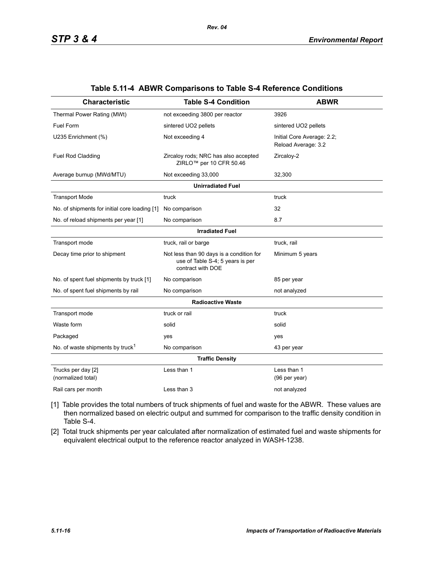| <b>Characteristic</b>                         | <b>Table S-4 Condition</b>                                                                        | <b>ABWR</b>                                       |  |  |  |  |  |
|-----------------------------------------------|---------------------------------------------------------------------------------------------------|---------------------------------------------------|--|--|--|--|--|
| Thermal Power Rating (MWt)                    | not exceeding 3800 per reactor                                                                    | 3926                                              |  |  |  |  |  |
| Fuel Form                                     | sintered UO2 pellets                                                                              | sintered UO2 pellets                              |  |  |  |  |  |
| U235 Enrichment (%)                           | Not exceeding 4                                                                                   | Initial Core Average: 2.2;<br>Reload Average: 3.2 |  |  |  |  |  |
| <b>Fuel Rod Cladding</b>                      | Zircaloy rods; NRC has also accepted<br>ZIRLO <sup>™</sup> per 10 CFR 50.46                       | Zircaloy-2                                        |  |  |  |  |  |
| Average burnup (MWd/MTU)                      | Not exceeding 33,000                                                                              | 32,300                                            |  |  |  |  |  |
|                                               | <b>Unirradiated Fuel</b>                                                                          |                                                   |  |  |  |  |  |
| <b>Transport Mode</b>                         | truck                                                                                             | truck                                             |  |  |  |  |  |
| No. of shipments for initial core loading [1] | No comparison                                                                                     | 32                                                |  |  |  |  |  |
| No. of reload shipments per year [1]          | No comparison                                                                                     | 8.7                                               |  |  |  |  |  |
|                                               | <b>Irradiated Fuel</b>                                                                            |                                                   |  |  |  |  |  |
| Transport mode                                | truck, rail or barge                                                                              | truck, rail                                       |  |  |  |  |  |
| Decay time prior to shipment                  | Not less than 90 days is a condition for<br>use of Table S-4; 5 years is per<br>contract with DOE | Minimum 5 years                                   |  |  |  |  |  |
| No. of spent fuel shipments by truck [1]      | No comparison                                                                                     | 85 per year                                       |  |  |  |  |  |
| No. of spent fuel shipments by rail           | No comparison                                                                                     | not analyzed                                      |  |  |  |  |  |
|                                               | <b>Radioactive Waste</b>                                                                          |                                                   |  |  |  |  |  |
| Transport mode                                | truck or rail                                                                                     | truck                                             |  |  |  |  |  |
| Waste form                                    | solid                                                                                             | solid                                             |  |  |  |  |  |
| Packaged                                      | yes                                                                                               | yes                                               |  |  |  |  |  |
| No. of waste shipments by truck <sup>1</sup>  | No comparison                                                                                     | 43 per year                                       |  |  |  |  |  |
|                                               | <b>Traffic Density</b>                                                                            |                                                   |  |  |  |  |  |
| Trucks per day [2]<br>(normalized total)      | Less than 1                                                                                       | Less than 1<br>(96 per year)                      |  |  |  |  |  |
| Rail cars per month                           | Less than 3                                                                                       | not analyzed                                      |  |  |  |  |  |

#### **Table 5.11-4 ABWR Comparisons to Table S-4 Reference Conditions**

- [1] Table provides the total numbers of truck shipments of fuel and waste for the ABWR. These values are then normalized based on electric output and summed for comparison to the traffic density condition in Table S-4.
- [2] Total truck shipments per year calculated after normalization of estimated fuel and waste shipments for equivalent electrical output to the reference reactor analyzed in WASH-1238.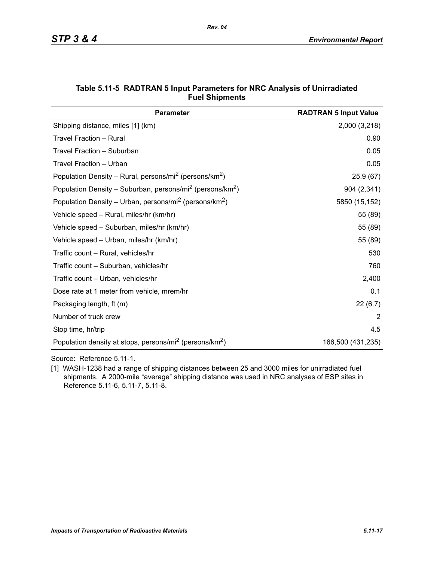| <b>Parameter</b>                                                                  | <b>RADTRAN 5 Input Value</b> |
|-----------------------------------------------------------------------------------|------------------------------|
| Shipping distance, miles [1] (km)                                                 | 2,000 (3,218)                |
| Travel Fraction - Rural                                                           | 0.90                         |
| Travel Fraction - Suburban                                                        | 0.05                         |
| Travel Fraction - Urban                                                           | 0.05                         |
| Population Density – Rural, persons/mi <sup>2</sup> (persons/km <sup>2</sup> )    | 25.9(67)                     |
| Population Density - Suburban, persons/mi <sup>2</sup> (persons/km <sup>2</sup> ) | 904 (2,341)                  |
| Population Density – Urban, persons/mi <sup>2</sup> (persons/km <sup>2</sup> )    | 5850 (15,152)                |
| Vehicle speed - Rural, miles/hr (km/hr)                                           | 55 (89)                      |
| Vehicle speed - Suburban, miles/hr (km/hr)                                        | 55 (89)                      |
| Vehicle speed - Urban, miles/hr (km/hr)                                           | 55 (89)                      |
| Traffic count - Rural, vehicles/hr                                                | 530                          |
| Traffic count - Suburban, vehicles/hr                                             | 760                          |
| Traffic count – Urban, vehicles/hr                                                | 2,400                        |
| Dose rate at 1 meter from vehicle, mrem/hr                                        | 0.1                          |
| Packaging length, ft (m)                                                          | 22(6.7)                      |
| Number of truck crew                                                              | 2                            |
| Stop time, hr/trip                                                                | 4.5                          |
| Population density at stops, persons/mi <sup>2</sup> (persons/km <sup>2</sup> )   | 166,500 (431,235)            |

### **Table 5.11-5 RADTRAN 5 Input Parameters for NRC Analysis of Unirradiated Fuel Shipments**

Source: Reference 5.11-1.

[1] WASH-1238 had a range of shipping distances between 25 and 3000 miles for unirradiated fuel shipments. A 2000-mile "average" shipping distance was used in NRC analyses of ESP sites in Reference 5.11-6, 5.11-7, 5.11-8.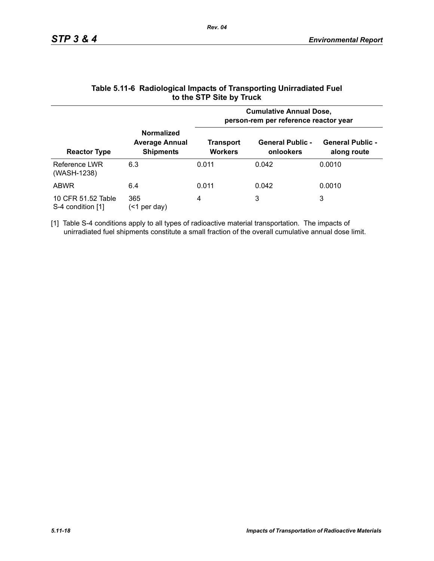|                                         |                                                                | <b>Cumulative Annual Dose,</b><br>person-rem per reference reactor year |                                      |                                        |  |  |
|-----------------------------------------|----------------------------------------------------------------|-------------------------------------------------------------------------|--------------------------------------|----------------------------------------|--|--|
| <b>Reactor Type</b>                     | <b>Normalized</b><br><b>Average Annual</b><br><b>Shipments</b> | Transport<br><b>Workers</b>                                             | <b>General Public -</b><br>onlookers | <b>General Public -</b><br>along route |  |  |
| Reference LWR<br>(WASH-1238)            | 6.3                                                            | 0.011                                                                   | 0.042                                | 0.0010                                 |  |  |
| <b>ABWR</b>                             | 6.4                                                            | 0.011                                                                   | 0.042                                | 0.0010                                 |  |  |
| 10 CFR 51.52 Table<br>S-4 condition [1] | 365<br>per day)<br>(<1                                         | 4                                                                       | 3                                    | 3                                      |  |  |

### **Table 5.11-6 Radiological Impacts of Transporting Unirradiated Fuel to the STP Site by Truck**

[1] Table S-4 conditions apply to all types of radioactive material transportation. The impacts of unirradiated fuel shipments constitute a small fraction of the overall cumulative annual dose limit.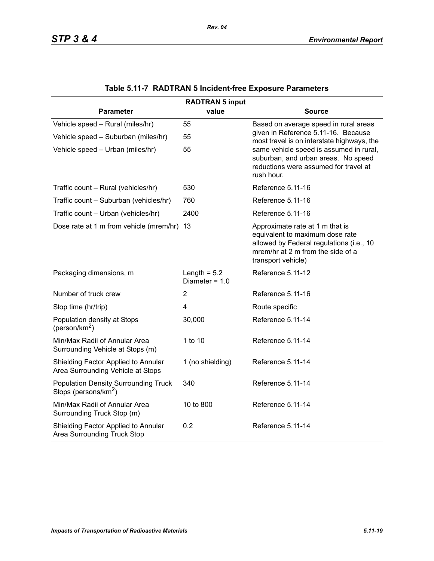| <b>RADTRAN 5 input</b>                                                          |                                    |                                                                                                                                                                           |  |  |  |  |
|---------------------------------------------------------------------------------|------------------------------------|---------------------------------------------------------------------------------------------------------------------------------------------------------------------------|--|--|--|--|
| <b>Parameter</b>                                                                | value                              | <b>Source</b>                                                                                                                                                             |  |  |  |  |
| Vehicle speed - Rural (miles/hr)                                                | 55                                 | Based on average speed in rural areas                                                                                                                                     |  |  |  |  |
| Vehicle speed - Suburban (miles/hr)                                             | 55                                 | given in Reference 5.11-16. Because<br>most travel is on interstate highways, the                                                                                         |  |  |  |  |
| Vehicle speed - Urban (miles/hr)                                                | 55                                 | same vehicle speed is assumed in rural,<br>suburban, and urban areas. No speed<br>reductions were assumed for travel at<br>rush hour.                                     |  |  |  |  |
| Traffic count - Rural (vehicles/hr)                                             | 530                                | Reference 5.11-16                                                                                                                                                         |  |  |  |  |
| Traffic count - Suburban (vehicles/hr)                                          | 760                                | Reference 5.11-16                                                                                                                                                         |  |  |  |  |
| Traffic count - Urban (vehicles/hr)                                             | 2400                               | Reference 5.11-16                                                                                                                                                         |  |  |  |  |
| Dose rate at 1 m from vehicle (mrem/hr) 13                                      |                                    | Approximate rate at 1 m that is<br>equivalent to maximum dose rate<br>allowed by Federal regulations (i.e., 10<br>mrem/hr at 2 m from the side of a<br>transport vehicle) |  |  |  |  |
| Packaging dimensions, m                                                         | Length = $5.2$<br>Diameter = $1.0$ | Reference 5.11-12                                                                                                                                                         |  |  |  |  |
| Number of truck crew                                                            | $\overline{2}$                     | Reference 5.11-16                                                                                                                                                         |  |  |  |  |
| Stop time (hr/trip)                                                             | $\overline{\mathbf{4}}$            | Route specific                                                                                                                                                            |  |  |  |  |
| Population density at Stops<br>(person/km <sup>2</sup> )                        | 30,000                             | Reference 5.11-14                                                                                                                                                         |  |  |  |  |
| Min/Max Radii of Annular Area<br>Surrounding Vehicle at Stops (m)               | 1 to 10                            | Reference 5.11-14                                                                                                                                                         |  |  |  |  |
| Shielding Factor Applied to Annular<br>Area Surrounding Vehicle at Stops        | 1 (no shielding)                   | Reference 5.11-14                                                                                                                                                         |  |  |  |  |
| <b>Population Density Surrounding Truck</b><br>Stops (persons/km <sup>2</sup> ) | 340                                | Reference 5.11-14                                                                                                                                                         |  |  |  |  |
| Min/Max Radii of Annular Area<br>Surrounding Truck Stop (m)                     | 10 to 800                          | Reference 5.11-14                                                                                                                                                         |  |  |  |  |
| Shielding Factor Applied to Annular<br>Area Surrounding Truck Stop              | 0.2                                | Reference 5.11-14                                                                                                                                                         |  |  |  |  |

# **Table 5.11-7 RADTRAN 5 Incident-free Exposure Parameters**